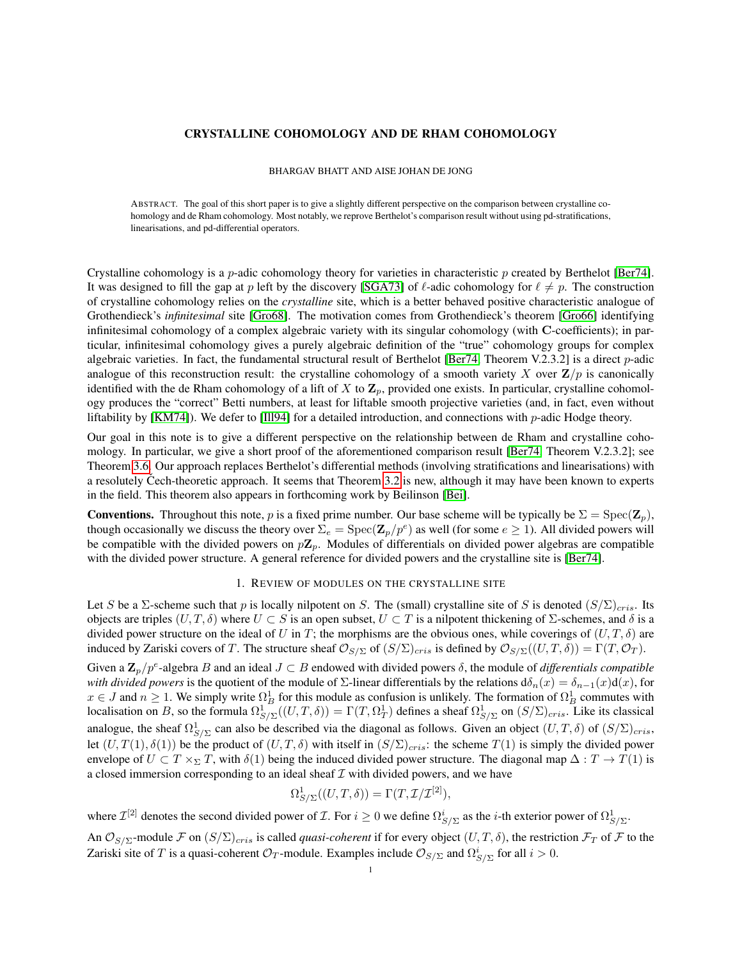# CRYSTALLINE COHOMOLOGY AND DE RHAM COHOMOLOGY

BHARGAV BHATT AND AISE JOHAN DE JONG

ABSTRACT. The goal of this short paper is to give a slightly different perspective on the comparison between crystalline cohomology and de Rham cohomology. Most notably, we reprove Berthelot's comparison result without using pd-stratifications, linearisations, and pd-differential operators.

Crystalline cohomology is a  $p$ -adic cohomology theory for varieties in characteristic  $p$  created by Berthelot [\[Ber74\]](#page-9-0). It was designed to fill the gap at p left by the discovery [\[SGA73\]](#page-9-1) of  $\ell$ -adic cohomology for  $\ell \neq p$ . The construction of crystalline cohomology relies on the *crystalline* site, which is a better behaved positive characteristic analogue of Grothendieck's *infinitesimal* site [\[Gro68\]](#page-9-2). The motivation comes from Grothendieck's theorem [\[Gro66\]](#page-9-3) identifying infinitesimal cohomology of a complex algebraic variety with its singular cohomology (with C-coefficients); in particular, infinitesimal cohomology gives a purely algebraic definition of the "true" cohomology groups for complex algebraic varieties. In fact, the fundamental structural result of Berthelot [\[Ber74,](#page-9-0) Theorem V.2.3.2] is a direct p-adic analogue of this reconstruction result: the crystalline cohomology of a smooth variety X over  $\mathbb{Z}/p$  is canonically identified with the de Rham cohomology of a lift of X to  $\mathbb{Z}_p$ , provided one exists. In particular, crystalline cohomology produces the "correct" Betti numbers, at least for liftable smooth projective varieties (and, in fact, even without liftability by [\[KM74\]](#page-9-4)). We defer to [\[Ill94\]](#page-9-5) for a detailed introduction, and connections with p-adic Hodge theory.

Our goal in this note is to give a different perspective on the relationship between de Rham and crystalline cohomology. In particular, we give a short proof of the aforementioned comparison result [\[Ber74,](#page-9-0) Theorem V.2.3.2]; see Theorem [3.6.](#page-7-0) Our approach replaces Berthelot's differential methods (involving stratifications and linearisations) with a resolutely Čech-theoretic approach. It seems that Theorem [3.2](#page-6-0) is new, although it may have been known to experts in the field. This theorem also appears in forthcoming work by Beilinson [\[Bei\]](#page-9-6).

**Conventions.** Throughout this note, p is a fixed prime number. Our base scheme will be typically be  $\Sigma = \text{Spec}(\mathbf{Z}_p)$ , though occasionally we discuss the theory over  $\Sigma_e = \text{Spec}(\mathbf{Z}_p/p^e)$  as well (for some  $e \ge 1$ ). All divided powers will be compatible with the divided powers on  $p\mathbf{Z}_p$ . Modules of differentials on divided power algebras are compatible with the divided power structure. A general reference for divided powers and the crystalline site is [\[Ber74\]](#page-9-0).

# 1. REVIEW OF MODULES ON THE CRYSTALLINE SITE

Let S be a Σ-scheme such that p is locally nilpotent on S. The (small) crystalline site of S is denoted  $(S/\Sigma)_{cris}$ . Its objects are triples  $(U, T, \delta)$  where  $U \subset S$  is an open subset,  $U \subset T$  is a nilpotent thickening of  $\Sigma$ -schemes, and  $\delta$  is a divided power structure on the ideal of U in T; the morphisms are the obvious ones, while coverings of  $(U, T, \delta)$  are induced by Zariski covers of T. The structure sheaf  $\mathcal{O}_{S/\Sigma}$  of  $(S/\Sigma)_{cris}$  is defined by  $\mathcal{O}_{S/\Sigma}((U,T,\delta)) = \Gamma(T,\mathcal{O}_T)$ .

Given a  $\mathbf{Z}_p/p^e$ -algebra B and an ideal  $J \subset B$  endowed with divided powers  $\delta$ , the module of *differentials compatible with divided powers* is the quotient of the module of  $\Sigma$ -linear differentials by the relations d $\delta_n(x) = \delta_{n-1}(x) d(x)$ , for  $x \in J$  and  $n \ge 1$ . We simply write  $\Omega_B^1$  for this module as confusion is unlikely. The formation of  $\Omega_B^1$  commutes with localisation on B, so the formula  $\Omega_{S/\Sigma}^1((U,T,\delta)) = \Gamma(T,\Omega_T^1)$  defines a sheaf  $\Omega_{S/\Sigma}^1$  on  $(S/\Sigma)_{cris}$ . Like its classical analogue, the sheaf  $\Omega^1_{S/\Sigma}$  can also be described via the diagonal as follows. Given an object  $(U, T, \delta)$  of  $(S/\Sigma)_{cris}$ , let  $(U, T(1), \delta(1))$  be the product of  $(U, T, \delta)$  with itself in  $(S/\Sigma)_{cris}$ : the scheme  $T(1)$  is simply the divided power envelope of  $U \subset T \times_{\Sigma} T$ , with  $\delta(1)$  being the induced divided power structure. The diagonal map  $\Delta : T \to T(1)$  is a closed immersion corresponding to an ideal sheaf  $\mathcal I$  with divided powers, and we have

$$
\Omega^1_{S/\Sigma}((U,T,\delta)) = \Gamma(T,\mathcal{I}/\mathcal{I}^{[2]}),
$$

where  $\mathcal{I}^{[2]}$  denotes the second divided power of  $\mathcal{I}$ . For  $i \geq 0$  we define  $\Omega^i_{S/\Sigma}$  as the *i*-th exterior power of  $\Omega^1_{S/\Sigma}$ .

An  $\mathcal{O}_{S/\Sigma}$ -module F on  $(S/\Sigma)_{cris}$  is called *quasi-coherent* if for every object  $(U, T, \delta)$ , the restriction  $\mathcal{F}_T$  of F to the Zariski site of T is a quasi-coherent  $\mathcal{O}_T$ -module. Examples include  $\mathcal{O}_{S/\Sigma}$  and  $\Omega^i_{S/\Sigma}$  for all  $i > 0$ .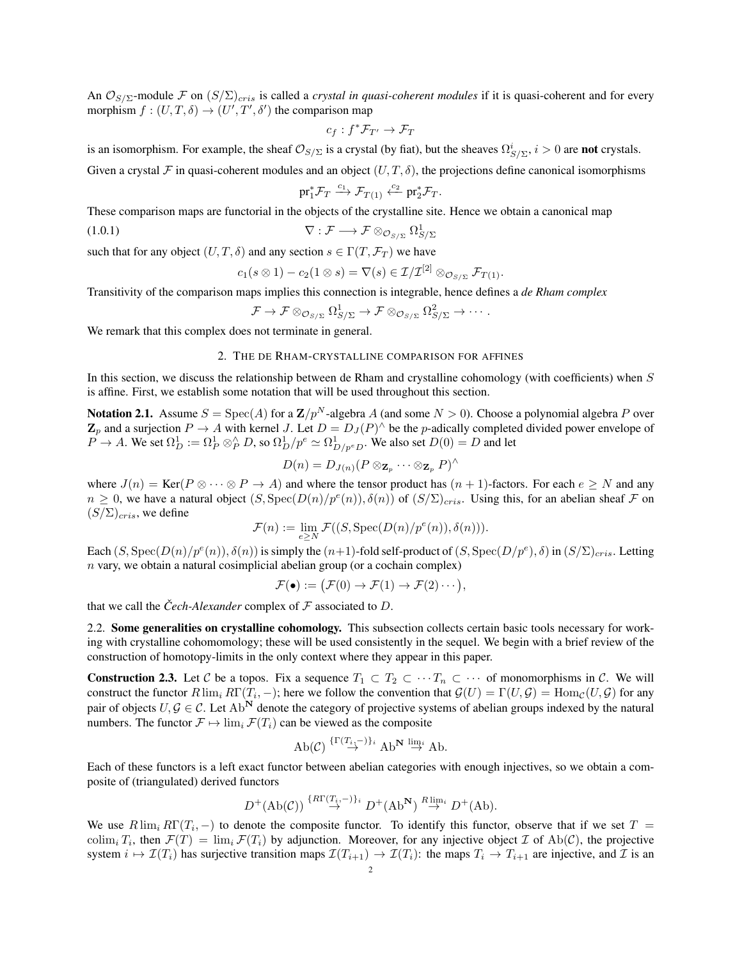An  $\mathcal{O}_{S/\Sigma}$ -module F on  $(S/\Sigma)_{cris}$  is called a *crystal in quasi-coherent modules* if it is quasi-coherent and for every morphism  $f : (U, T, \delta) \to (U', T', \delta')$  the comparison map

$$
c_f: f^* \mathcal{F}_{T'} \to \mathcal{F}_T
$$

is an isomorphism. For example, the sheaf  $\mathcal{O}_{S/\Sigma}$  is a crystal (by fiat), but the sheaves  $\Omega_{S/\Sigma}^i$ ,  $i > 0$  are **not** crystals.

Given a crystal F in quasi-coherent modules and an object  $(U, T, \delta)$ , the projections define canonical isomorphisms

<span id="page-1-1"></span>
$$
\text{pr}_1^* \mathcal{F}_T \xrightarrow{c_1} \mathcal{F}_{T(1)} \xleftarrow{c_2} \text{pr}_2^* \mathcal{F}_T.
$$

These comparison maps are functorial in the objects of the crystalline site. Hence we obtain a canonical map

$$
\nabla : \mathcal{F} \longrightarrow \mathcal{F} \otimes_{\mathcal{O}_{S/\Sigma}} \Omega^1_{S/\Sigma}
$$

such that for any object  $(U, T, \delta)$  and any section  $s \in \Gamma(T, \mathcal{F}_T)$  we have

$$
c_1(s\otimes 1)-c_2(1\otimes s)=\nabla(s)\in\mathcal{I}/\mathcal{I}^{[2]}\otimes_{\mathcal{O}_{S/\Sigma}}\mathcal{F}_{T(1)}.
$$

Transitivity of the comparison maps implies this connection is integrable, hence defines a *de Rham complex*

$$
\mathcal{F} \to \mathcal{F} \otimes_{\mathcal{O}_{S/\Sigma}} \Omega^1_{S/\Sigma} \to \mathcal{F} \otimes_{\mathcal{O}_{S/\Sigma}} \Omega^2_{S/\Sigma} \to \cdots.
$$

<span id="page-1-3"></span>We remark that this complex does not terminate in general.

### 2. THE DE RHAM-CRYSTALLINE COMPARISON FOR AFFINES

In this section, we discuss the relationship between de Rham and crystalline cohomology (with coefficients) when S is affine. First, we establish some notation that will be used throughout this section.

<span id="page-1-2"></span>**Notation 2.1.** Assume  $S = \text{Spec}(A)$  for a  $\mathbb{Z}/p^N$ -algebra A (and some  $N > 0$ ). Choose a polynomial algebra P over  $\mathbf{Z}_p$  and a surjection  $P \to A$  with kernel J. Let  $D = D_J(P)^\wedge$  be the *p*-adically completed divided power envelope of  $P \to A$ . We set  $\Omega_D^1 := \Omega_P^1 \otimes_P^{\wedge} D$ , so  $\Omega_D^1/p^e \simeq \Omega_{D/p^e D}^1$ . We also set  $D(0) = D$  and let

$$
D(n) = D_{J(n)}(P \otimes_{\mathbf{Z}_p} \cdots \otimes_{\mathbf{Z}_p} P)^{\wedge}
$$

where  $J(n) = \text{Ker}(P \otimes \cdots \otimes P \to A)$  and where the tensor product has  $(n + 1)$ -factors. For each  $e \geq N$  and any  $n \geq 0$ , we have a natural object  $(S, \text{Spec}(D(n)/p^e(n)), \delta(n))$  of  $(S/\Sigma)_{cris}$ . Using this, for an abelian sheaf  $\mathcal F$  on  $(S/\Sigma)_{cris}$ , we define

$$
\mathcal{F}(n) := \lim_{e \ge N} \mathcal{F}((S, \operatorname{Spec}(D(n)/p^e(n)), \delta(n))).
$$

Each  $(S, \text{Spec}(D(n)/p^e(n)), \delta(n))$  is simply the  $(n+1)$ -fold self-product of  $(S, \text{Spec}(D/p^e), \delta)$  in  $(S/\Sigma)_{cris}$ . Letting  $n$  vary, we obtain a natural cosimplicial abelian group (or a cochain complex)

$$
\mathcal{F}(\bullet) := \big(\mathcal{F}(0) \to \mathcal{F}(1) \to \mathcal{F}(2) \cdots \big),
$$

that we call the *Čech-Alexander* complex of  $\mathcal F$  associated to  $D$ .

2.2. Some generalities on crystalline cohomology. This subsection collects certain basic tools necessary for working with crystalline cohomomology; these will be used consistently in the sequel. We begin with a brief review of the construction of homotopy-limits in the only context where they appear in this paper.

<span id="page-1-0"></span>**Construction 2.3.** Let C be a topos. Fix a sequence  $T_1 \subset T_2 \subset \cdots T_n \subset \cdots$  of monomorphisms in C. We will construct the functor  $R \lim_{i} R\Gamma(T_i, -)$ ; here we follow the convention that  $\mathcal{G}(U) = \Gamma(U, \mathcal{G}) = \text{Hom}_{\mathcal{C}}(U, \mathcal{G})$  for any pair of objects  $U, G \in \mathcal{C}$ . Let Ab<sup>N</sup> denote the category of projective systems of abelian groups indexed by the natural numbers. The functor  $\mathcal{F} \mapsto \lim_{i} \mathcal{F}(T_i)$  can be viewed as the composite

$$
\mathrm{Ab}(\mathcal{C}) \stackrel{\{\Gamma(T_i,-)\}_i}{\rightarrow} \mathrm{Ab}^{\mathbf{N}} \stackrel{\lim_i}{\rightarrow} \mathrm{Ab}.
$$

Each of these functors is a left exact functor between abelian categories with enough injectives, so we obtain a composite of (triangulated) derived functors

$$
D^+(\mathrm{Ab}(\mathcal{C})) \stackrel{\{R\Gamma(T_i,-)\}_i}{\rightarrow} D^+(\mathrm{Ab}^{\mathbf{N}}) \stackrel{R\lim_i}{\rightarrow} D^+(\mathrm{Ab}).
$$

We use  $R \lim_{i} R\Gamma(T_i, -)$  to denote the composite functor. To identify this functor, observe that if we set  $T =$ colim<sub>i</sub>  $T_i$ , then  $\mathcal{F}(T) = \lim_i \mathcal{F}(T_i)$  by adjunction. Moreover, for any injective object  $\mathcal{I}$  of Ab(C), the projective system  $i \mapsto \mathcal{I}(T_i)$  has surjective transition maps  $\mathcal{I}(T_{i+1}) \to \mathcal{I}(T_i)$ : the maps  $T_i \to T_{i+1}$  are injective, and  $\mathcal I$  is an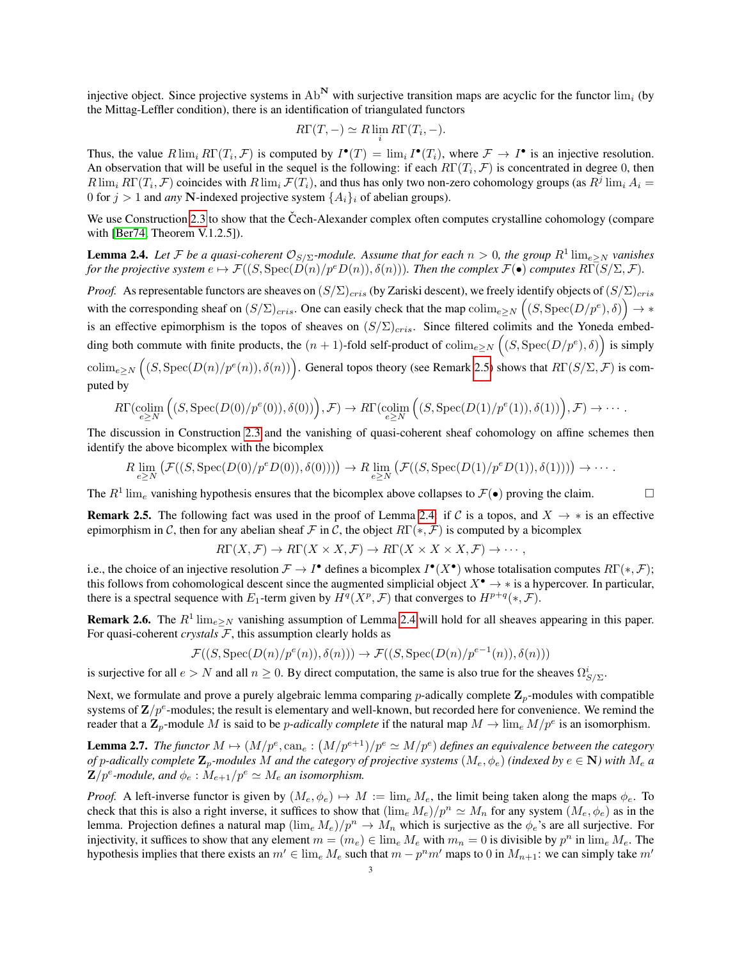injective object. Since projective systems in  $Ab^N$  with surjective transition maps are acyclic for the functor  $\lim_{i}$  (by the Mittag-Leffler condition), there is an identification of triangulated functors

$$
R\Gamma(T, -) \simeq R \lim_{i} R\Gamma(T_i, -).
$$

Thus, the value  $R\lim_{i} R\Gamma(T_i, \mathcal{F})$  is computed by  $I^{\bullet}(T) = \lim_{i} I^{\bullet}(T_i)$ , where  $\mathcal{F} \to I^{\bullet}$  is an injective resolution. An observation that will be useful in the sequel is the following: if each  $R\Gamma(T_i, \mathcal{F})$  is concentrated in degree 0, then  $R\lim_i R\Gamma(T_i,\mathcal{F})$  coincides with  $R\lim_i \mathcal{F}(T_i)$ , and thus has only two non-zero cohomology groups (as  $R^j\lim_i A_i =$ 0 for  $j > 1$  and *any* N-indexed projective system  $\{A_i\}_i$  of abelian groups).

We use Construction [2.3](#page-1-0) to show that the Čech-Alexander complex often computes crystalline cohomology (compare with [\[Ber74,](#page-9-0) Theorem V.1.2.5]).

<span id="page-2-1"></span>**Lemma 2.4.** Let F be a quasi-coherent  $\mathcal{O}_{S/\Sigma}$ -module. Assume that for each  $n > 0$ , the group  $R^1 \lim_{e \ge N}$  vanishes *for the projective system*  $e \mapsto \mathcal{F}((S, \text{Spec}(D(n)/p^e D(n)), \delta(n)))$ *. Then the complex*  $\mathcal{F}(\bullet)$  *computes*  $R\Gamma(S/\Sigma, \mathcal{F})$ *.* 

*Proof.* As representable functors are sheaves on  $(S/\Sigma)_{cris}$  (by Zariski descent), we freely identify objects of  $(S/\Sigma)_{cris}$ with the corresponding sheaf on  $(S/\Sigma)_{cris}$ . One can easily check that the map  $\text{colim}_{e\geq N}((S,\text{Spec}(D/p^e),\delta))\to *$ is an effective epimorphism is the topos of sheaves on  $(S/\Sigma)_{cris}$ . Since filtered colimits and the Yoneda embedding both commute with finite products, the  $(n + 1)$ -fold self-product of  $\text{colim}_{e \ge N}((S, \text{Spec}(D/p^e), \delta))$  is simply  $\text{colim}_{e\geq N} \left( (S, \text{Spec}(D(n)/p^e(n)), \delta(n)) \right)$ . General topos theory (see Remark [2.5\)](#page-2-0) shows that  $R\Gamma(S/\Sigma, \mathcal{F})$  is computed by

$$
R\Gamma(\mathop{\text{colim}}\limits_{e\geq N}\Big((S,\mathop{\text{Spec}}\limits(D(0)/p^e(0)),\delta(0))\Big),\mathcal{F})\to R\Gamma(\mathop{\text{colim}}\limits_{e\geq N}\Big((S,\mathop{\text{Spec}}\limits(D(1)/p^e(1)),\delta(1))\Big),\mathcal{F})\to\cdots.
$$

The discussion in Construction [2.3](#page-1-0) and the vanishing of quasi-coherent sheaf cohomology on affine schemes then identify the above bicomplex with the bicomplex

$$
R\lim_{e\geq N}\left(\mathcal{F}((S,\mathrm{Spec}(D(0)/p^e D(0)),\delta(0)))\right)\to R\lim_{e\geq N}\left(\mathcal{F}((S,\mathrm{Spec}(D(1)/p^e D(1)),\delta(1)))\right)\to\cdots.
$$

The  $R^1$  lim<sub>e</sub> vanishing hypothesis ensures that the bicomplex above collapses to  $\mathcal{F}(\bullet)$  proving the claim.

<span id="page-2-0"></span>**Remark 2.5.** The following fact was used in the proof of Lemma [2.4:](#page-2-1) if C is a topos, and  $X \to *$  is an effective epimorphism in C, then for any abelian sheaf F in C, the object  $RT(*, \mathcal{F})$  is computed by a bicomplex

$$
R\Gamma(X,\mathcal{F}) \to R\Gamma(X \times X, \mathcal{F}) \to R\Gamma(X \times X \times X, \mathcal{F}) \to \cdots,
$$

i.e., the choice of an injective resolution  $\mathcal{F} \to I^{\bullet}$  defines a bicomplex  $I^{\bullet}(X^{\bullet})$  whose totalisation computes  $R\Gamma(*, \mathcal{F})$ ; this follows from cohomological descent since the augmented simplicial object  $X^{\bullet} \to *$  is a hypercover. In particular, there is a spectral sequence with  $E_1$ -term given by  $H^q(X^p, \mathcal{F})$  that converges to  $H^{p+q}(*, \mathcal{F})$ .

**Remark 2.6.** The  $R^1 \lim_{e \ge N}$  vanishing assumption of Lemma [2.4](#page-2-1) will hold for all sheaves appearing in this paper. For quasi-coherent *crystals* F, this assumption clearly holds as

$$
\mathcal{F}((S, \operatorname{Spec}(D(n)/p^e(n)), \delta(n))) \to \mathcal{F}((S, \operatorname{Spec}(D(n)/p^{e-1}(n)), \delta(n)))
$$

is surjective for all  $e > N$  and all  $n \ge 0$ . By direct computation, the same is also true for the sheaves  $\Omega_{S/\Sigma}^i$ .

Next, we formulate and prove a purely algebraic lemma comparing p-adically complete  $\mathbf{Z}_p$ -modules with compatible systems of  $\mathbf{Z}/p^e$ -modules; the result is elementary and well-known, but recorded here for convenience. We remind the reader that a  $\mathbf{Z}_p$ -module M is said to be *p-adically complete* if the natural map  $M \to \lim_{\varepsilon} M/p^e$  is an isomorphism.

<span id="page-2-2"></span>**Lemma 2.7.** The functor  $M \mapsto (M/p^e, \text{can}_e : (M/p^{e+1})/p^e \simeq M/p^e)$  defines an equivalence between the category *of* p-adically complete  $\mathbf{Z}_p$ -modules M and the category of projective systems  $(M_e, \phi_e)$  *(indexed by*  $e \in \mathbf{N}$ ) with  $M_e$  a  $\mathbf{Z}/p^e$ -module, and  $\phi_e$  :  $\dot{M}_{e+1}/p^e \simeq M_e$  an isomorphism.

*Proof.* A left-inverse functor is given by  $(M_e, \phi_e) \rightarrow M := \lim_{\epsilon} M_{\epsilon}$ , the limit being taken along the maps  $\phi_{\epsilon}$ . To check that this is also a right inverse, it suffices to show that  $(\lim_{\epsilon} M_{\epsilon})/p^n \simeq M_n$  for any system  $(M_{\epsilon}, \phi_{\epsilon})$  as in the lemma. Projection defines a natural map  $(\lim_e M_e)/p^n \to M_n$  which is surjective as the  $\phi_e$ 's are all surjective. For injectivity, it suffices to show that any element  $m = (m_e) \in \lim_{\epsilon} M_{\epsilon}$  with  $m_n = 0$  is divisible by  $p^n$  in  $\lim_{\epsilon} M_{\epsilon}$ . The hypothesis implies that there exists an  $m' \in \lim_{e} M_e$  such that  $m - p^n m'$  maps to 0 in  $M_{n+1}$ : we can simply take  $m'$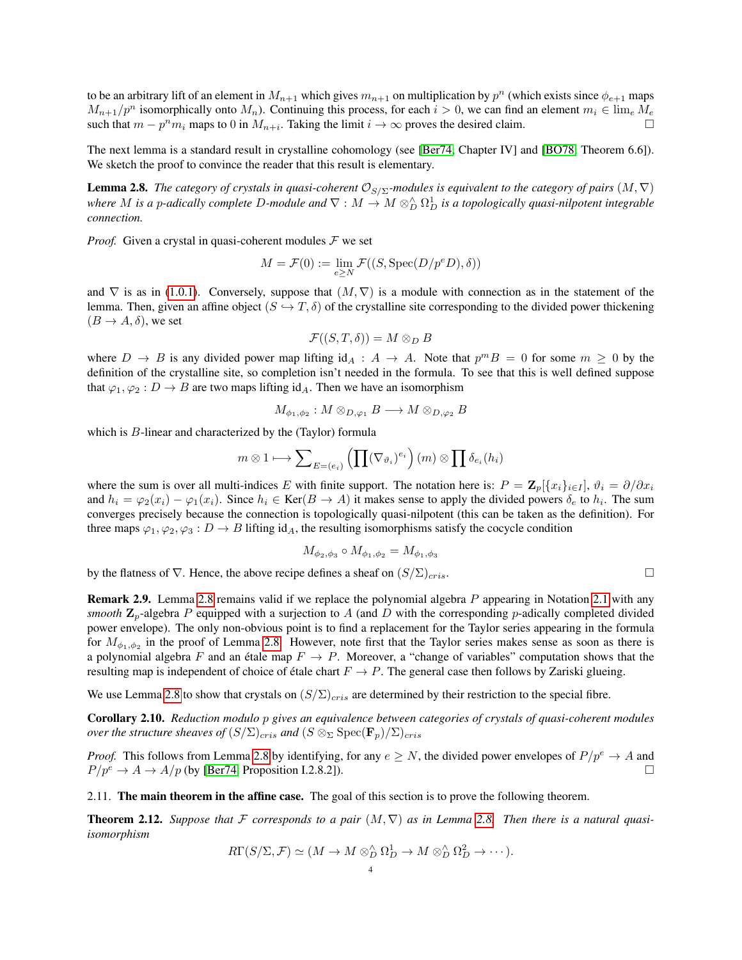to be an arbitrary lift of an element in  $M_{n+1}$  which gives  $m_{n+1}$  on multiplication by  $p^n$  (which exists since  $\phi_{e+1}$  maps  $M_{n+1}/p^n$  isomorphically onto  $M_n$ ). Continuing this process, for each  $i > 0$ , we can find an element  $m_i \in \lim_{\epsilon} M_{\epsilon}$ such that  $m - p^n m_i$  maps to 0 in  $M_{n+i}$ . Taking the limit  $i \to \infty$  proves the desired claim.

The next lemma is a standard result in crystalline cohomology (see [\[Ber74,](#page-9-0) Chapter IV] and [\[BO78,](#page-9-7) Theorem 6.6]). We sketch the proof to convince the reader that this result is elementary.

<span id="page-3-0"></span>**Lemma 2.8.** *The category of crystals in quasi-coherent*  $\mathcal{O}_{S/\Sigma}$ *-modules is equivalent to the category of pairs*  $(M, \nabla)$ where M is a p-adically complete D-module and  $\nabla:M\to M\otimes_D^{\wedge}\Omega_D^1$  is a topologically quasi-nilpotent integrable *connection.*

*Proof.* Given a crystal in quasi-coherent modules  $F$  we set

$$
M = \mathcal{F}(0) := \lim_{e \ge N} \mathcal{F}((S, \operatorname{Spec}(D/p^e D), \delta))
$$

and  $\nabla$  is as in [\(1.0.1\)](#page-1-1). Conversely, suppose that  $(M, \nabla)$  is a module with connection as in the statement of the lemma. Then, given an affine object  $(S \hookrightarrow T, \delta)$  of the crystalline site corresponding to the divided power thickening  $(B \to A, \delta)$ , we set

$$
\mathcal{F}((S,T,\delta))=M\otimes_D B
$$

where  $D \to B$  is any divided power map lifting  $id_A : A \to A$ . Note that  $p^m B = 0$  for some  $m \ge 0$  by the definition of the crystalline site, so completion isn't needed in the formula. To see that this is well defined suppose that  $\varphi_1, \varphi_2 : D \to B$  are two maps lifting id<sub>A</sub>. Then we have an isomorphism

$$
M_{\phi_1,\phi_2}:M\otimes_{D,\varphi_1}B\longrightarrow M\otimes_{D,\varphi_2}B
$$

which is B-linear and characterized by the (Taylor) formula

$$
m \otimes 1 \longmapsto \sum_{E=(e_i)} \left( \prod (\nabla_{\vartheta_i})^{e_i} \right) (m) \otimes \prod \delta_{e_i}(h_i)
$$

where the sum is over all multi-indices E with finite support. The notation here is:  $P = \mathbb{Z}_p[\{x_i\}_{i\in I}]$ ,  $\vartheta_i = \partial/\partial x_i$ and  $h_i = \varphi_2(x_i) - \varphi_1(x_i)$ . Since  $h_i \in \text{Ker}(B \to A)$  it makes sense to apply the divided powers  $\delta_e$  to  $h_i$ . The sum converges precisely because the connection is topologically quasi-nilpotent (this can be taken as the definition). For three maps  $\varphi_1, \varphi_2, \varphi_3 : D \to B$  lifting id<sub>A</sub>, the resulting isomorphisms satisfy the cocycle condition

$$
M_{\phi_2, \phi_3} \circ M_{\phi_1, \phi_2} = M_{\phi_1, \phi_3}
$$

by the flatness of  $\nabla$ . Hence, the above recipe defines a sheaf on  $(S/\Sigma)_{cris}$ .

<span id="page-3-2"></span>Remark 2.9. Lemma [2.8](#page-3-0) remains valid if we replace the polynomial algebra P appearing in Notation [2.1](#page-1-2) with any *smooth*  $\mathbb{Z}_p$ -algebra P equipped with a surjection to A (and D with the corresponding p-adically completed divided power envelope). The only non-obvious point is to find a replacement for the Taylor series appearing in the formula for  $M_{\phi_1,\phi_2}$  in the proof of Lemma [2.8.](#page-3-0) However, note first that the Taylor series makes sense as soon as there is a polynomial algebra F and an étale map  $F \to P$ . Moreover, a "change of variables" computation shows that the resulting map is independent of choice of étale chart  $F \to P$ . The general case then follows by Zariski glueing.

We use Lemma [2.8](#page-3-0) to show that crystals on  $(S/\Sigma)_{cris}$  are determined by their restriction to the special fibre.

<span id="page-3-3"></span>Corollary 2.10. *Reduction modulo* p *gives an equivalence between categories of crystals of quasi-coherent modules over the structure sheaves of*  $(S/\Sigma)_{cris}$  *and*  $(S \otimes_{\Sigma} \text{Spec}(\mathbf{F}_p)/\Sigma)_{cris}$ 

*Proof.* This follows from Lemma [2.8](#page-3-0) by identifying, for any  $e \geq N$ , the divided power envelopes of  $P/p^e \to A$  and  $P/p^e \rightarrow A \rightarrow A/p$  (by [\[Ber74,](#page-9-0) Proposition I.2.8.2]).

2.11. The main theorem in the affine case. The goal of this section is to prove the following theorem.

<span id="page-3-1"></span>**Theorem 2.12.** Suppose that F corresponds to a pair  $(M, \nabla)$  as in Lemma [2.8.](#page-3-0) Then there is a natural quasi*isomorphism*

$$
R\Gamma(S/\Sigma, \mathcal{F}) \simeq (M \to M \otimes_D^{\wedge} \Omega_D^1 \to M \otimes_D^{\wedge} \Omega_D^2 \to \cdots).
$$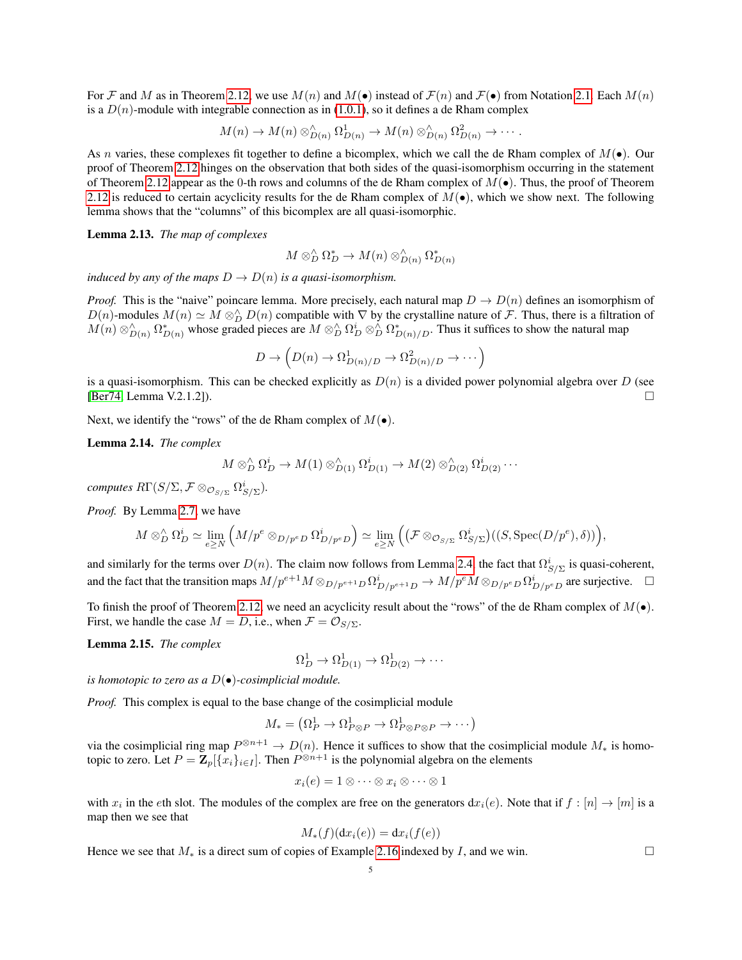For F and M as in Theorem [2.12,](#page-3-1) we use  $M(n)$  and  $M(\bullet)$  instead of  $\mathcal{F}(n)$  and  $\mathcal{F}(\bullet)$  from Notation [2.1.](#page-1-2) Each  $M(n)$ is a  $D(n)$ -module with integrable connection as in [\(1.0.1\)](#page-1-1), so it defines a de Rham complex

$$
M(n) \to M(n) \otimes_{D(n)}^{\wedge} \Omega^1_{D(n)} \to M(n) \otimes_{D(n)}^{\wedge} \Omega^2_{D(n)} \to \cdots.
$$

As n varies, these complexes fit together to define a bicomplex, which we call the de Rham complex of  $M(\bullet)$ . Our proof of Theorem [2.12](#page-3-1) hinges on the observation that both sides of the quasi-isomorphism occurring in the statement of Theorem [2.12](#page-3-1) appear as the 0-th rows and columns of the de Rham complex of  $M(\bullet)$ . Thus, the proof of Theorem [2.12](#page-3-1) is reduced to certain acyclicity results for the de Rham complex of  $M(\bullet)$ , which we show next. The following lemma shows that the "columns" of this bicomplex are all quasi-isomorphic.

<span id="page-4-1"></span>Lemma 2.13. *The map of complexes*

$$
M \otimes_D^{\wedge} \Omega_D^* \to M(n) \otimes_{D(n)}^{\wedge} \Omega_{D(n)}^*
$$

*induced by any of the maps*  $D \to D(n)$  *is a quasi-isomorphism.* 

*Proof.* This is the "naive" poincare lemma. More precisely, each natural map  $D \to D(n)$  defines an isomorphism of D(n)-modules  $M(n) \simeq M \otimes_D^{\wedge} D(n)$  compatible with  $\nabla$  by the crystalline nature of F. Thus, there is a filtration of  $M(n) \otimes_{D(n)}^{\wedge} \Omega_{D(n)}^*$  whose graded pieces are  $M \otimes_D^{\wedge} \Omega_D^* \otimes_D^{\wedge} \Omega_{D(n)/D}^*$ . Thus it suffices to show the natural map

$$
D \to \left(D(n) \to \Omega^1_{D(n)/D} \to \Omega^2_{D(n)/D} \to \cdots\right)
$$

is a quasi-isomorphism. This can be checked explicitly as  $D(n)$  is a divided power polynomial algebra over D (see [\[Ber74,](#page-9-0) Lemma V.2.1.2]).

Next, we identify the "rows" of the de Rham complex of  $M(\bullet)$ .

<span id="page-4-2"></span>Lemma 2.14. *The complex*

$$
M \otimes_D^{\wedge} \Omega_D^i \to M(1) \otimes_{D(1)}^{\wedge} \Omega_{D(1)}^i \to M(2) \otimes_{D(2)}^{\wedge} \Omega_{D(2)}^i \cdots
$$

 $\mathit{computes} \ R\Gamma(S/\Sigma, \mathcal{F} \otimes_{\mathcal{O}_{S/\Sigma}} \Omega^i_{S/\Sigma}).$ 

*Proof.* By Lemma [2.7,](#page-2-2) we have

$$
M \otimes_D^{\wedge} \Omega_D^i \simeq \lim_{e \ge N} \left( M/p^e \otimes_{D/p^e D} \Omega_{D/p^e D}^i \right) \simeq \lim_{e \ge N} \left( \left( \mathcal{F} \otimes_{\mathcal{O}_{S/\Sigma}} \Omega_{S/\Sigma}^i \right) ((S, \text{Spec}(D/p^e), \delta)) \right),
$$

and similarly for the terms over  $D(n)$ . The claim now follows from Lemma [2.4,](#page-2-1) the fact that  $\Omega_{S/\Sigma}^i$  is quasi-coherent, and the fact that the transition maps  $M/p^{e+1}M \otimes_{D/p^{e+1}D} \Omega^i_{D/p^{e+1}D} \to M/p^eM \otimes_{D/p^eD} \Omega^i_{D/p^eD}$  are surjective.

To finish the proof of Theorem [2.12,](#page-3-1) we need an acyclicity result about the "rows" of the de Rham complex of  $M(\bullet)$ . First, we handle the case  $M = D$ , i.e., when  $\mathcal{F} = \mathcal{O}_{S/\Sigma}$ .

<span id="page-4-0"></span>Lemma 2.15. *The complex*

$$
\Omega_D^1 \to \Omega_{D(1)}^1 \to \Omega_{D(2)}^1 \to \cdots
$$

*is homotopic to zero as a* D(•)*-cosimplicial module.*

*Proof.* This complex is equal to the base change of the cosimplicial module

$$
M_* = (\Omega_P^1 \to \Omega_{P \otimes P}^1 \to \Omega_{P \otimes P \otimes P}^1 \to \cdots)
$$

via the cosimplicial ring map  $P^{\otimes n+1} \to D(n)$ . Hence it suffices to show that the cosimplicial module  $M_*$  is homotopic to zero. Let  $P = \mathbf{Z}_p[\{x_i\}_{i \in I}]$ . Then  $P^{\otimes n+1}$  is the polynomial algebra on the elements

$$
x_i(e) = 1 \otimes \cdots \otimes x_i \otimes \cdots \otimes 1
$$

with  $x_i$  in the eth slot. The modules of the complex are free on the generators  $dx_i(e)$ . Note that if  $f : [n] \to [m]$  is a map then we see that

$$
M_*(f)(\mathrm{d}x_i(e)) = \mathrm{d}x_i(f(e))
$$

Hence we see that  $M_*$  is a direct sum of copies of Example [2.16](#page-5-0) indexed by I, and we win.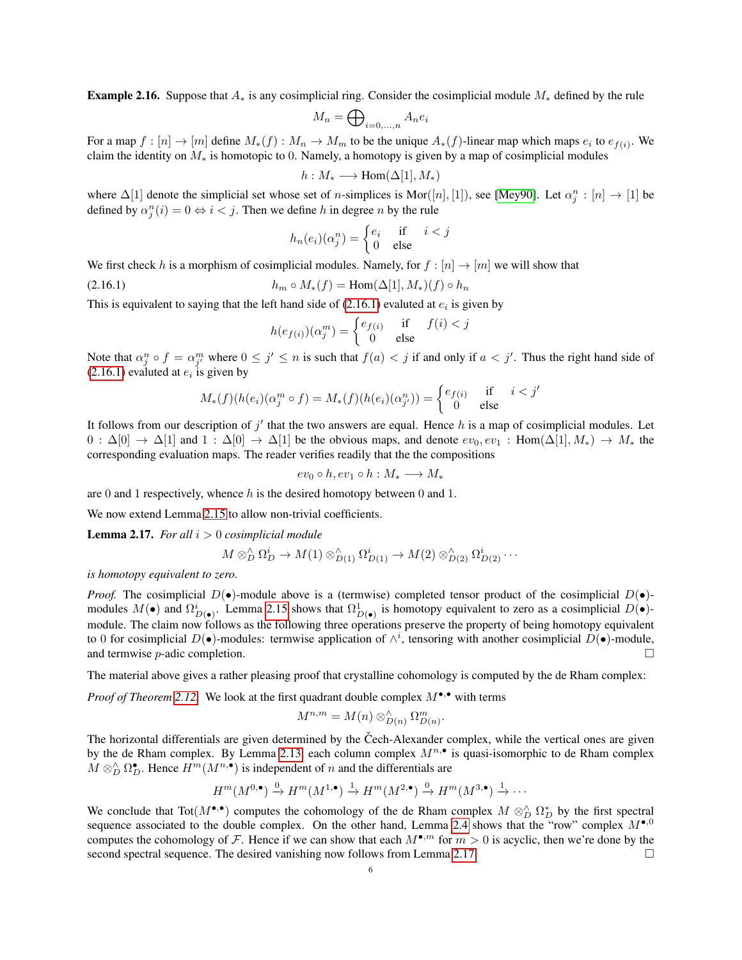<span id="page-5-0"></span>**Example 2.16.** Suppose that  $A_*$  is any cosimplicial ring. Consider the cosimplicial module  $M_*$  defined by the rule

$$
M_n = \bigoplus\nolimits_{i=0,...,n} A_n e_i
$$

For a map  $f: [n] \to [m]$  define  $M_*(f): M_n \to M_m$  to be the unique  $A_*(f)$ -linear map which maps  $e_i$  to  $e_{f(i)}$ . We claim the identity on  $M_*$  is homotopic to 0. Namely, a homotopy is given by a map of cosimplicial modules

$$
h:M_*\longrightarrow \mathrm{Hom}(\Delta[1],M_*)
$$

where  $\Delta[1]$  denote the simplicial set whose set of *n*-simplices is Mor([*n*], [1]), see [\[Mey90\]](#page-9-8). Let  $\alpha_j^n : [n] \to [1]$  be defined by  $\alpha_j^n(i) = 0 \Leftrightarrow i < j$ . Then we define h in degree n by the rule

$$
h_n(e_i)(\alpha_j^n) = \begin{cases} e_i & \text{if } i < j \\ 0 & \text{else} \end{cases}
$$

We first check h is a morphism of cosimplicial modules. Namely, for  $f : [n] \to [m]$  we will show that

(2.16.1) 
$$
h_m \circ M_*(f) = \text{Hom}(\Delta[1], M_*)(f) \circ h_n
$$

This is equivalent to saying that the left hand side of  $(2.16.1)$  evaluted at  $e_i$  is given by

<span id="page-5-1"></span>
$$
h(e_{f(i)})(\alpha_j^m) = \begin{cases} e_{f(i)} & \text{if } f(i) < j\\ 0 & \text{else} \end{cases}
$$

Note that  $\alpha_j^n \circ f = \alpha_{j'}^m$  where  $0 \le j' \le n$  is such that  $f(a) < j$  if and only if  $a < j'$ . Thus the right hand side of  $(2.16.1)$  evaluted at  $e_i$  is given by

$$
M_*(f)(h(e_i)(\alpha_j^m \circ f) = M_*(f)(h(e_i)(\alpha_{j'}^n)) = \begin{cases} e_{f(i)} & \text{if } i < j' \\ 0 & \text{else} \end{cases}
$$

It follows from our description of  $j'$  that the two answers are equal. Hence  $h$  is a map of cosimplicial modules. Let  $0 : \Delta[0] \to \Delta[1]$  and  $1 : \Delta[0] \to \Delta[1]$  be the obvious maps, and denote  $ev_0, ev_1 : \text{Hom}(\Delta[1], M_*) \to M_*$  the corresponding evaluation maps. The reader verifies readily that the the compositions

$$
ev_0 \circ h, ev_1 \circ h: M_* \longrightarrow M_*
$$

are 0 and 1 respectively, whence  $h$  is the desired homotopy between 0 and 1.

We now extend Lemma [2.15](#page-4-0) to allow non-trivial coefficients.

<span id="page-5-2"></span>Lemma 2.17. *For all* i > 0 *cosimplicial module*

$$
M \otimes_D^{\wedge} \Omega_D^i \to M(1) \otimes_{D(1)}^{\wedge} \Omega_{D(1)}^i \to M(2) \otimes_{D(2)}^{\wedge} \Omega_{D(2)}^i \cdots
$$

*is homotopy equivalent to zero.*

*Proof.* The cosimplicial  $D(\bullet)$ -module above is a (termwise) completed tensor product of the cosimplicial  $D(\bullet)$ modules  $M(\bullet)$  and  $\Omega_{D(\bullet)}^i$ . Lemma [2.15](#page-4-0) shows that  $\Omega_{D(\bullet)}^1$  is homotopy equivalent to zero as a cosimplicial  $D(\bullet)$ module. The claim now follows as the following three operations preserve the property of being homotopy equivalent to 0 for cosimplicial  $D(\bullet)$ -modules: termwise application of  $\wedge^i$ , tensoring with another cosimplicial  $D(\bullet)$ -module, and termwise p-adic completion.

The material above gives a rather pleasing proof that crystalline cohomology is computed by the de Rham complex:

*Proof of Theorem [2.12.](#page-3-1)* We look at the first quadrant double complex  $M^{\bullet,\bullet}$  with terms

$$
M^{n,m} = M(n) \otimes_{D(n)}^{\wedge} \Omega_{D(n)}^m.
$$

The horizontal differentials are given determined by the Čech-Alexander complex, while the vertical ones are given by the de Rham complex. By Lemma [2.13,](#page-4-1) each column complex  $M^{n,\bullet}$  is quasi-isomorphic to de Rham complex  $M \otimes_D^{\wedge} \Omega_D^{\bullet}$ . Hence  $H^m(M^{n,\bullet})$  is independent of n and the differentials are

$$
H^m(M^{0,\bullet}) \xrightarrow{0} H^m(M^{1,\bullet}) \xrightarrow{1} H^m(M^{2,\bullet}) \xrightarrow{0} H^m(M^{3,\bullet}) \xrightarrow{1} \cdots
$$

We conclude that  $\text{Tot}(M^{\bullet,\bullet})$  computes the cohomology of the de Rham complex  $M \otimes_D^{\wedge} \Omega_D^*$  by the first spectral sequence associated to the double complex. On the other hand, Lemma [2.4](#page-2-1) shows that the "row" complex  $M^{\bullet,0}$ computes the cohomology of F. Hence if we can show that each  $M^{\bullet,m}$  for  $m > 0$  is acyclic, then we're done by the second spectral sequence. The desired vanishing now follows from Lemma [2.17.](#page-5-2)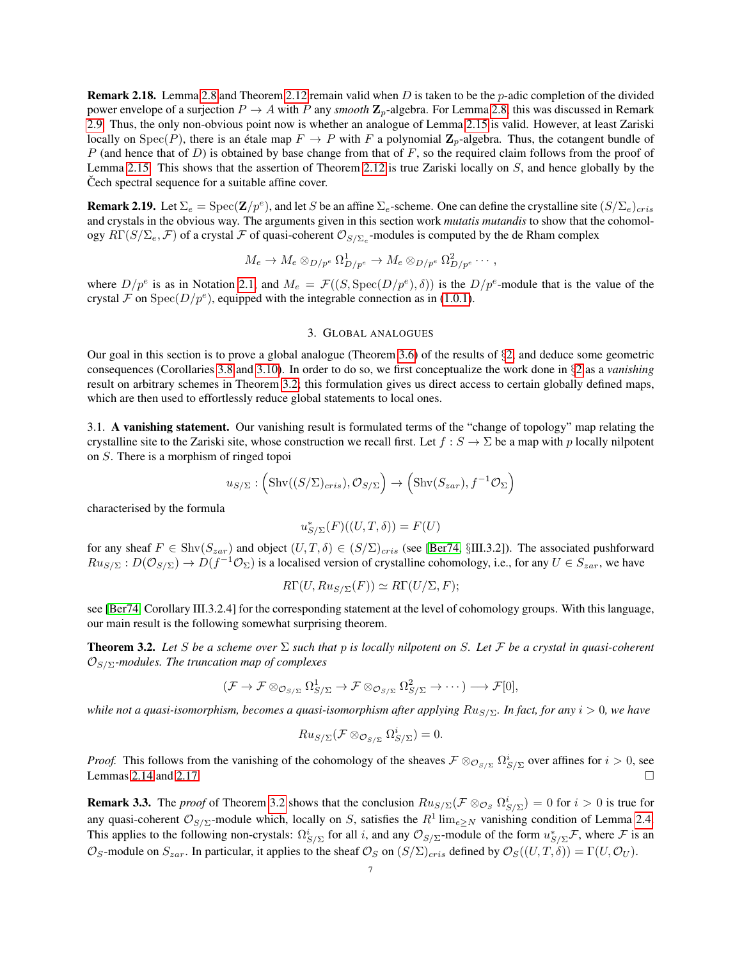<span id="page-6-1"></span>Remark 2.18. Lemma [2.8](#page-3-0) and Theorem [2.12](#page-3-1) remain valid when D is taken to be the p-adic completion of the divided power envelope of a surjection  $P \to A$  with P any *smooth*  $\mathbb{Z}_p$ -algebra. For Lemma [2.8,](#page-3-0) this was discussed in Remark [2.9.](#page-3-2) Thus, the only non-obvious point now is whether an analogue of Lemma [2.15](#page-4-0) is valid. However, at least Zariski locally on  $Spec(P)$ , there is an étale map  $F \to P$  with F a polynomial  $\mathbb{Z}_p$ -algebra. Thus, the cotangent bundle of  $P$  (and hence that of  $D$ ) is obtained by base change from that of  $F$ , so the required claim follows from the proof of Lemma [2.15.](#page-4-0) This shows that the assertion of Theorem [2.12](#page-3-1) is true Zariski locally on S, and hence globally by the Cech spectral sequence for a suitable affine cover.

<span id="page-6-2"></span>**Remark 2.19.** Let  $\Sigma_e = \text{Spec}(\mathbf{Z}/p^e)$ , and let S be an affine  $\Sigma_e$ -scheme. One can define the crystalline site  $(S/\Sigma_e)_{cris}$ and crystals in the obvious way. The arguments given in this section work *mutatis mutandis* to show that the cohomology  $R\Gamma(S/\Sigma_e, F)$  of a crystal  $F$  of quasi-coherent  $\mathcal{O}_{S/\Sigma_e}$ -modules is computed by the de Rham complex

$$
M_e \to M_e \otimes_{D/p^e} \Omega^1_{D/p^e} \to M_e \otimes_{D/p^e} \Omega^2_{D/p^e} \cdots,
$$

where  $D/p^e$  is as in Notation [2.1,](#page-1-2) and  $M_e = \mathcal{F}((S, \text{Spec}(D/p^e), \delta))$  is the  $D/p^e$ -module that is the value of the crystal F on Spec $(D/p^e)$ , equipped with the integrable connection as in [\(1.0.1\)](#page-1-1).

# 3. GLOBAL ANALOGUES

Our goal in this section is to prove a global analogue (Theorem [3.6\)](#page-7-0) of the results of  $\S2$ , and deduce some geometric consequences (Corollaries [3.8](#page-8-0) and [3.10\)](#page-8-1). In order to do so, we first conceptualize the work done in §[2](#page-1-3) as a *vanishing* result on arbitrary schemes in Theorem [3.2;](#page-6-0) this formulation gives us direct access to certain globally defined maps, which are then used to effortlessly reduce global statements to local ones.

3.1. A vanishing statement. Our vanishing result is formulated terms of the "change of topology" map relating the crystalline site to the Zariski site, whose construction we recall first. Let  $f : S \to \Sigma$  be a map with p locally nilpotent on S. There is a morphism of ringed topoi

$$
u_{S/\Sigma}
$$
:  $(\text{Shv}((S/\Sigma)_{cris}), \mathcal{O}_{S/\Sigma}) \rightarrow (\text{Shv}(S_{zar}), f^{-1}\mathcal{O}_{\Sigma})$ 

characterised by the formula

$$
u_{S/\Sigma}^*(F)((U,T,\delta)) = F(U)
$$

for any sheaf  $F \in \text{Shv}(S_{zar})$  and object  $(U, T, \delta) \in (S/\Sigma)_{cris}$  (see [\[Ber74,](#page-9-0) §III.3.2]). The associated pushforward  $Ru_{S/\Sigma}: D(\mathcal{O}_{S/\Sigma}) \to D(f^{-1}\mathcal{O}_{\Sigma})$  is a localised version of crystalline cohomology, i.e., for any  $U \in S_{zar}$ , we have

$$
R\Gamma(U, Ru_{S/\Sigma}(F)) \simeq R\Gamma(U/\Sigma, F);
$$

see [\[Ber74,](#page-9-0) Corollary III.3.2.4] for the corresponding statement at the level of cohomology groups. With this language, our main result is the following somewhat surprising theorem.

<span id="page-6-0"></span>Theorem 3.2. *Let* S *be a scheme over* Σ *such that* p *is locally nilpotent on* S*. Let* F *be a crystal in quasi-coherent*  $\mathcal{O}_{S/\Sigma}$ -modules. The truncation map of complexes

$$
(\mathcal{F}\to\mathcal{F}\otimes_{\mathcal{O}_{S/\Sigma}}\Omega^1_{S/\Sigma}\to\mathcal{F}\otimes_{\mathcal{O}_{S/\Sigma}}\Omega^2_{S/\Sigma}\to\cdots)\longrightarrow\mathcal{F}[0],
$$

*while not a quasi-isomorphism, becomes a quasi-isomorphism after applying*  $Ru_{S/\Sigma}$ *. In fact, for any*  $i > 0$ *, we have* 

$$
Ru_{S/\Sigma}(\mathcal{F} \otimes_{\mathcal{O}_{S/\Sigma}} \Omega^i_{S/\Sigma}) = 0.
$$

*Proof.* This follows from the vanishing of the cohomology of the sheaves  $\mathcal{F} \otimes_{\mathcal{O}_{S/\Sigma}} \Omega^i_{S/\Sigma}$  over affines for  $i > 0$ , see Lemmas [2.14](#page-4-2) and [2.17.](#page-5-2)  $\Box$ 

**Remark 3.3.** The *proof* of Theorem [3.2](#page-6-0) shows that the conclusion  $Ru_{S/\Sigma}(\mathcal{F} \otimes_{\mathcal{O}_S} \Omega^i_{S/\Sigma}) = 0$  for  $i > 0$  is true for any quasi-coherent  $\mathcal{O}_{S/\Sigma}$ -module which, locally on S, satisfies the  $R^1 \lim_{e \ge N}$  vanishing condition of Lemma [2.4.](#page-2-1) This applies to the following non-crystals:  $\Omega_{S/\Sigma}^i$  for all i, and any  $\mathcal{O}_{S/\Sigma}$ -module of the form  $u_{S/\Sigma}^*$  where  $\mathcal F$  is an  $\mathcal{O}_S$ -module on  $S_{zar}$ . In particular, it applies to the sheaf  $\mathcal{O}_S$  on  $(S/\Sigma)_{cris}$  defined by  $\mathcal{O}_S((U,T,\delta)) = \Gamma(U,\mathcal{O}_U)$ .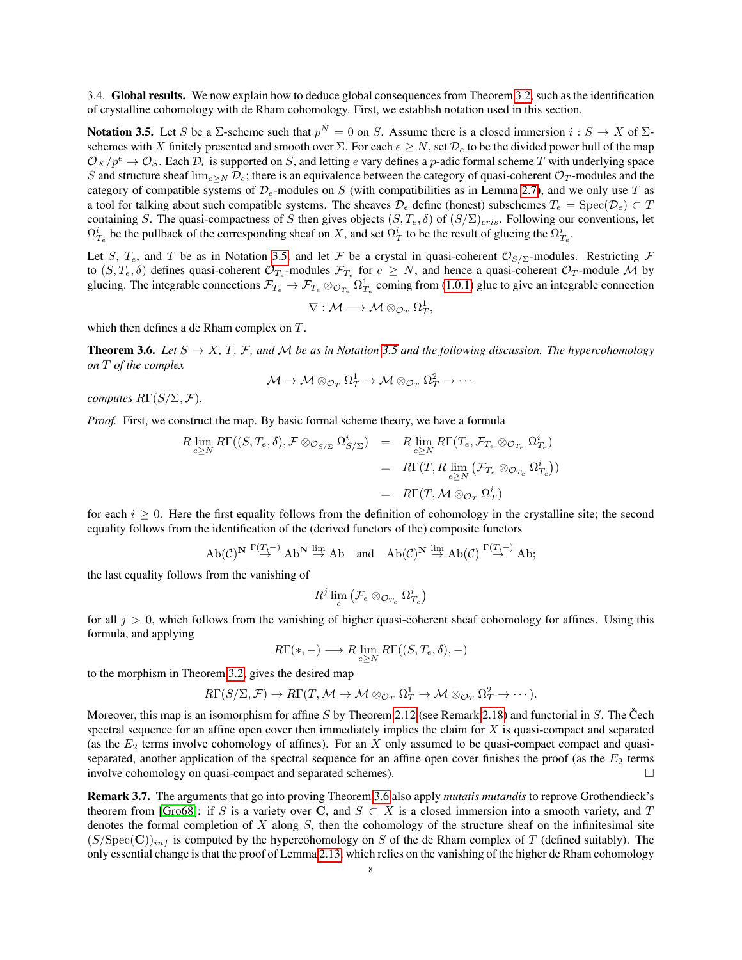3.4. Global results. We now explain how to deduce global consequences from Theorem [3.2,](#page-6-0) such as the identification of crystalline cohomology with de Rham cohomology. First, we establish notation used in this section.

<span id="page-7-1"></span>Notation 3.5. Let S be a  $\Sigma$ -scheme such that  $p^N = 0$  on S. Assume there is a closed immersion  $i: S \to X$  of  $\Sigma$ schemes with X finitely presented and smooth over  $\Sigma$ . For each  $e \geq N$ , set  $\mathcal{D}_e$  to be the divided power hull of the map  $\mathcal{O}_X/p^e \to \mathcal{O}_S$ . Each  $\mathcal{D}_e$  is supported on S, and letting e vary defines a p-adic formal scheme T with underlying space S and structure sheaf  $\lim_{e\geq N} \mathcal{D}_e$ ; there is an equivalence between the category of quasi-coherent  $\mathcal{O}_T$ -modules and the category of compatible systems of  $\mathcal{D}_e$ -modules on S (with compatibilities as in Lemma [2.7\)](#page-2-2), and we only use T as a tool for talking about such compatible systems. The sheaves  $\mathcal{D}_e$  define (honest) subschemes  $T_e = \text{Spec}(\mathcal{D}_e) \subset T$ containing S. The quasi-compactness of S then gives objects  $(S, T_e, \delta)$  of  $(S/\Sigma)_{cris}$ . Following our conventions, let  $\Omega_{T_e}^i$  be the pullback of the corresponding sheaf on X, and set  $\Omega_T^i$  to be the result of glueing the  $\Omega_{T_e}^i$ .

Let S,  $T_e$ , and T be as in Notation [3.5,](#page-7-1) and let F be a crystal in quasi-coherent  $\mathcal{O}_{S/\Sigma}$ -modules. Restricting F to  $(S, T_e, \delta)$  defines quasi-coherent  $\mathcal{O}_{T_e}$ -modules  $\mathcal{F}_{T_e}$  for  $e \geq N$ , and hence a quasi-coherent  $\mathcal{O}_T$ -module M by glueing. The integrable connections  $\mathcal{F}_{T_e} \to \mathcal{F}_{T_e} \otimes_{\mathcal{O}_{T_e}} \Omega^1_{T_e}$  coming from [\(1.0.1\)](#page-1-1) glue to give an integrable connection

$$
\nabla: \mathcal{M} \longrightarrow \mathcal{M} \otimes_{\mathcal{O}_T} \Omega_T^1,
$$

which then defines a de Rham complex on T.

<span id="page-7-0"></span>**Theorem 3.6.** *Let*  $S \to X$ ,  $T$ ,  $F$ , and  $M$  *be as in Notation* [3.5](#page-7-1) *and the following discussion. The hypercohomology on* T *of the complex*

$$
\mathcal{M} \to \mathcal{M} \otimes_{\mathcal{O}_T} \Omega_T^1 \to \mathcal{M} \otimes_{\mathcal{O}_T} \Omega_T^2 \to \cdots
$$

*computes*  $R\Gamma(S/\Sigma, \mathcal{F})$ *.* 

*Proof.* First, we construct the map. By basic formal scheme theory, we have a formula

$$
R \lim_{e \ge N} R\Gamma((S, T_e, \delta), \mathcal{F} \otimes_{\mathcal{O}_{S/\Sigma}} \Omega_{S/\Sigma}^i) = R \lim_{e \ge N} R\Gamma(T_e, \mathcal{F}_{T_e} \otimes_{\mathcal{O}_{T_e}} \Omega_{T_e}^i)
$$
  

$$
= R\Gamma(T, R \lim_{e \ge N} (\mathcal{F}_{T_e} \otimes_{\mathcal{O}_{T_e}} \Omega_{T_e}^i))
$$
  

$$
= R\Gamma(T, \mathcal{M} \otimes_{\mathcal{O}_T} \Omega_T^i)
$$

for each  $i \geq 0$ . Here the first equality follows from the definition of cohomology in the crystalline site; the second equality follows from the identification of the (derived functors of the) composite functors

$$
\mathrm{Ab}(\mathcal{C})^{\mathbf{N}}\stackrel{\Gamma(T,-)}{\rightarrow}\mathrm{Ab}^{\mathbf{N}}\stackrel{\mathrm{lim}}{\rightarrow}\mathrm{Ab}\quad\text{and}\quad\mathrm{Ab}(\mathcal{C})^{\mathbf{N}}\stackrel{\mathrm{lim}}{\rightarrow}\mathrm{Ab}(\mathcal{C})\stackrel{\Gamma(T,-)}{\rightarrow}\mathrm{Ab};
$$

the last equality follows from the vanishing of

$$
R^j \lim_e \left( \mathcal{F}_e \otimes_{\mathcal{O}_{T_e}} \Omega^i_{T_e} \right)
$$

for all  $j > 0$ , which follows from the vanishing of higher quasi-coherent sheaf cohomology for affines. Using this formula, and applying

$$
R\Gamma(*,-) \longrightarrow R\lim_{e \geq N} R\Gamma((S,T_e,\delta),-)
$$

to the morphism in Theorem [3.2,](#page-6-0) gives the desired map

$$
R\Gamma(S/\Sigma, \mathcal{F}) \to R\Gamma(T, \mathcal{M} \to \mathcal{M} \otimes_{\mathcal{O}_T} \Omega_T^1 \to \mathcal{M} \otimes_{\mathcal{O}_T} \Omega_T^2 \to \cdots).
$$

Moreover, this map is an isomorphism for affine S by Theorem [2.12](#page-3-1) (see Remark [2.18\)](#page-6-1) and functorial in S. The Čech spectral sequence for an affine open cover then immediately implies the claim for  $X$  is quasi-compact and separated (as the  $E_2$  terms involve cohomology of affines). For an X only assumed to be quasi-compact compact and quasiseparated, another application of the spectral sequence for an affine open cover finishes the proof (as the  $E_2$  terms involve cohomology on quasi-compact and separated schemes).

Remark 3.7. The arguments that go into proving Theorem [3.6](#page-7-0) also apply *mutatis mutandis* to reprove Grothendieck's theorem from [\[Gro68\]](#page-9-2): if S is a variety over C, and  $S \subset X$  is a closed immersion into a smooth variety, and T denotes the formal completion of  $X$  along  $S$ , then the cohomology of the structure sheaf on the infinitesimal site  $(S/\text{Spec}(\mathbf{C}))_{inf}$  is computed by the hypercohomology on S of the de Rham complex of T (defined suitably). The only essential change is that the proof of Lemma [2.13,](#page-4-1) which relies on the vanishing of the higher de Rham cohomology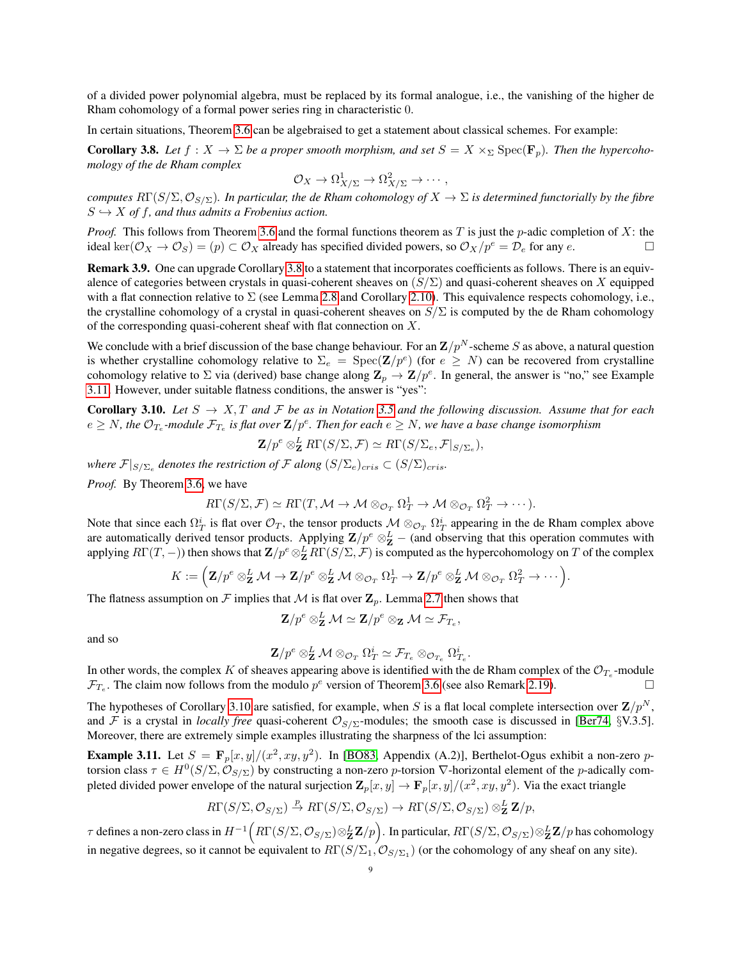of a divided power polynomial algebra, must be replaced by its formal analogue, i.e., the vanishing of the higher de Rham cohomology of a formal power series ring in characteristic 0.

In certain situations, Theorem [3.6](#page-7-0) can be algebraised to get a statement about classical schemes. For example:

<span id="page-8-0"></span>**Corollary 3.8.** Let  $f: X \to \Sigma$  be a proper smooth morphism, and set  $S = X \times_{\Sigma} \text{Spec}(\mathbf{F}_p)$ . Then the hypercoho*mology of the de Rham complex*

$$
\mathcal{O}_X \to \Omega^1_{X/\Sigma} \to \Omega^2_{X/\Sigma} \to \cdots,
$$

*computes*  $R\Gamma(S/\Sigma, \mathcal{O}_{S/\Sigma})$ *. In particular, the de Rham cohomology of*  $X \to \Sigma$  *is determined functorially by the fibre*  $S \hookrightarrow X$  *of f, and thus admits a Frobenius action.* 

*Proof.* This follows from Theorem [3.6](#page-7-0) and the formal functions theorem as T is just the p-adic completion of X: the ideal ker( $\mathcal{O}_X \to \mathcal{O}_S$ ) = (p)  $\subset \mathcal{O}_X$  already has specified divided powers, so  $\mathcal{O}_X/p^e = \mathcal{D}_e$  for any e.

Remark 3.9. One can upgrade Corollary [3.8](#page-8-0) to a statement that incorporates coefficients as follows. There is an equivalence of categories between crystals in quasi-coherent sheaves on  $(S/\Sigma)$  and quasi-coherent sheaves on X equipped with a flat connection relative to  $\Sigma$  (see Lemma [2.8](#page-3-0) and Corollary [2.10\)](#page-3-3). This equivalence respects cohomology, i.e., the crystalline cohomology of a crystal in quasi-coherent sheaves on  $S/\Sigma$  is computed by the de Rham cohomology of the corresponding quasi-coherent sheaf with flat connection on X.

We conclude with a brief discussion of the base change behaviour. For an  $\mathbf{Z}/p^N$ -scheme S as above, a natural question is whether crystalline cohomology relative to  $\Sigma_e = \text{Spec}(\mathbf{Z}/p^e)$  (for  $e \geq N$ ) can be recovered from crystalline cohomology relative to  $\Sigma$  via (derived) base change along  $\mathbf{Z}_p \to \mathbf{Z}/p^e$ . In general, the answer is "no," see Example [3.11.](#page-8-2) However, under suitable flatness conditions, the answer is "yes":

<span id="page-8-1"></span>**Corollary 3.10.** Let  $S \to X, T$  and F be as in Notation [3.5](#page-7-1) and the following discussion. Assume that for each  $e\ge N$ , the  $\mathcal{O}_{T_e}$ -module  $\mathcal{F}_{T_e}$  is flat over  $\mathbf{Z}/p^e$ . Then for each  $e\ge N$ , we have a base change isomorphism

$$
\mathbf{Z}/p^e \otimes_{\mathbf{Z}}^L R\Gamma(S/\Sigma, \mathcal{F}) \simeq R\Gamma(S/\Sigma_e, \mathcal{F}|_{S/\Sigma_e}),
$$

where  $\mathcal{F}|_{S/\Sigma_e}$  denotes the restriction of  $\mathcal{F}$  along  $(S/\Sigma_e)_{cris} \subset (S/\Sigma)_{cris}.$ 

*Proof.* By Theorem [3.6,](#page-7-0) we have

$$
R\Gamma(S/\Sigma, \mathcal{F}) \simeq R\Gamma(T, \mathcal{M} \to \mathcal{M} \otimes_{\mathcal{O}_T} \Omega_T^1 \to \mathcal{M} \otimes_{\mathcal{O}_T} \Omega_T^2 \to \cdots).
$$

Note that since each  $\Omega^i_T$  is flat over  $\mathcal{O}_T$ , the tensor products  $\mathcal{M} \otimes_{\mathcal{O}_T} \Omega^i_T$  appearing in the de Rham complex above are automatically derived tensor products. Applying  $\mathbf{Z}/p^e \otimes_{\mathbf{Z}}^L$  – (and observing that this operation commutes with applying  $R\Gamma(T,-)$ ) then shows that  $\mathbf{Z}/p^e\otimes^L_{\mathbf{Z}}R\Gamma(S/\Sigma,\mathcal{F})$  is computed as the hypercohomology on  $T$  of the complex

$$
K:=\Big(\mathbf{Z}/p^e\otimes_{\mathbf{Z}}^L \mathcal{M} \rightarrow \mathbf{Z}/p^e\otimes_{\mathbf{Z}}^L \mathcal{M}\otimes_{\mathcal{O}_T} \Omega_T^1 \rightarrow \mathbf{Z}/p^e\otimes_{\mathbf{Z}}^L \mathcal{M}\otimes_{\mathcal{O}_T} \Omega_T^2 \rightarrow \cdots\Big).
$$

The flatness assumption on F implies that M is flat over  $\mathbb{Z}_p$ . Lemma [2.7](#page-2-2) then shows that

$$
\mathbf{Z}/p^e \otimes_{\mathbf{Z}}^L \mathcal{M} \simeq \mathbf{Z}/p^e \otimes_{\mathbf{Z}} \mathcal{M} \simeq \mathcal{F}_{T_e},
$$

and so

$$
\mathbf{Z}/p^e \otimes_{\mathbf{Z}}^L \mathcal{M} \otimes_{\mathcal{O}_T} \Omega_T^i \simeq \mathcal{F}_{T_e} \otimes_{\mathcal{O}_{T_e}} \Omega_{T_e}^i.
$$

In other words, the complex K of sheaves appearing above is identified with the de Rham complex of the  $\mathcal{O}_{T_e}$ -module  $\mathcal{F}_{T_e}$ . The claim now follows from the modulo  $p^e$  version of Theorem [3.6](#page-7-0) (see also Remark [2.19\)](#page-6-2).

The hypotheses of Corollary [3.10](#page-8-1) are satisfied, for example, when S is a flat local complete intersection over  $\mathbf{Z}/p^N$ , and F is a crystal in *locally free* quasi-coherent  $\mathcal{O}_{S/\Sigma}$ -modules; the smooth case is discussed in [\[Ber74,](#page-9-0) §V.3.5]. Moreover, there are extremely simple examples illustrating the sharpness of the lci assumption:

<span id="page-8-2"></span>**Example 3.11.** Let  $S = \mathbf{F}_p[x, y]/(x^2, xy, y^2)$ . In [\[BO83,](#page-9-9) Appendix (A.2)], Berthelot-Ogus exhibit a non-zero ptorsion class  $\tau \in H^0(S/\Sigma, \mathcal{O}_{S/\Sigma})$  by constructing a non-zero p-torsion  $\nabla$ -horizontal element of the p-adically completed divided power envelope of the natural surjection  $\mathbf{Z}_p[x,y] \to \mathbf{F}_p[x,y]/(x^2,xy,y^2)$ . Via the exact triangle

$$
R\Gamma(S/\Sigma, \mathcal{O}_{S/\Sigma}) \xrightarrow{p} R\Gamma(S/\Sigma, \mathcal{O}_{S/\Sigma}) \to R\Gamma(S/\Sigma, \mathcal{O}_{S/\Sigma}) \otimes^L_{\mathbf{Z}} \mathbf{Z}/p,
$$

 $\tau$  defines a non-zero class in  $H^{-1}\Big(R\Gamma(S/\Sigma,{\cal O}_{S/\Sigma})\otimes^L_{\bf Z}{\bf Z}/p\Big).$  In particular,  $R\Gamma(S/\Sigma,{\cal O}_{S/\Sigma})\otimes^L_{\bf Z}{\bf Z}/p$  has cohomology in negative degrees, so it cannot be equivalent to  $R\Gamma(S/\Sigma_1, \mathcal{O}_{S/\Sigma_1})$  (or the cohomology of any sheaf on any site).